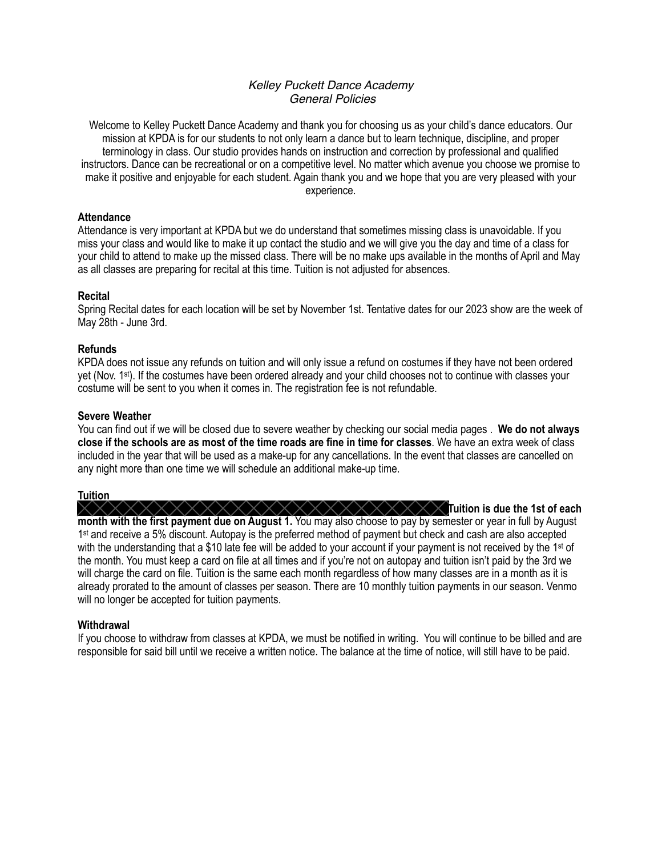## *Kelley Puckett Dance Academy General Policies*

Welcome to Kelley Puckett Dance Academy and thank you for choosing us as your child's dance educators. Our mission at KPDA is for our students to not only learn a dance but to learn technique, discipline, and proper terminology in class. Our studio provides hands on instruction and correction by professional and qualified instructors. Dance can be recreational or on a competitive level. No matter which avenue you choose we promise to make it positive and enjoyable for each student. Again thank you and we hope that you are very pleased with your experience.

### **Attendance**

Attendance is very important at KPDA but we do understand that sometimes missing class is unavoidable. If you miss your class and would like to make it up contact the studio and we will give you the day and time of a class for your child to attend to make up the missed class. There will be no make ups available in the months of April and May as all classes are preparing for recital at this time. Tuition is not adjusted for absences.

## $\sf Recital$

Spring Recital dates for each location will be set by November 1st. Tentative dates for our 2023 show are the week of May 28th - June 3rd.

#### ${\sf Refunds}$

KPDA does not issue any refunds on tuition and will only issue a refund on costumes if they have not been ordered yet (Nov. 1st). If the costumes have been ordered already and your child chooses not to continue with classes your costume will be sent to you when it comes in. The registration fee is not refundable.

#### **Severe Weather**

You can find out if we will be closed due to severe weather by checking our social media pages . **We do not always close if the schools are as most of the time roads are fine in time for classes**. We have an extra week of class included in the year that will be used as a make-up for any cancellations. In the event that classes are cancelled on any night more than one time we will schedule an additional make-up time.

## **Tuition**

 $\times\times$  $\times$   $\times$   $\times$  Tuition is due the 1st of each **month with the first payment due on August 1.** You may also choose to pay by semester or year in full by August 1<sup>st</sup> and receive a 5% discount. Autopay is the preferred method of payment but check and cash are also accepted with the understanding that a \$10 late fee will be added to your account if your payment is not received by the 1<sup>st</sup> of the month. You must keep a card on file at all times and if you're not on autopay and tuition isn't paid by the 3rd we will charge the card on file. Tuition is the same each month regardless of how many classes are in a month as it is already prorated to the amount of classes per season. There are 10 monthly tuition payments in our season. Venmo will no longer be accepted for tuition payments.

#### **Withdrawal**

If you choose to withdraw from classes at KPDA, we must be notified in writing. You will continue to be billed and are responsible for said bill until we receive a written notice. The balance at the time of notice, will still have to be paid.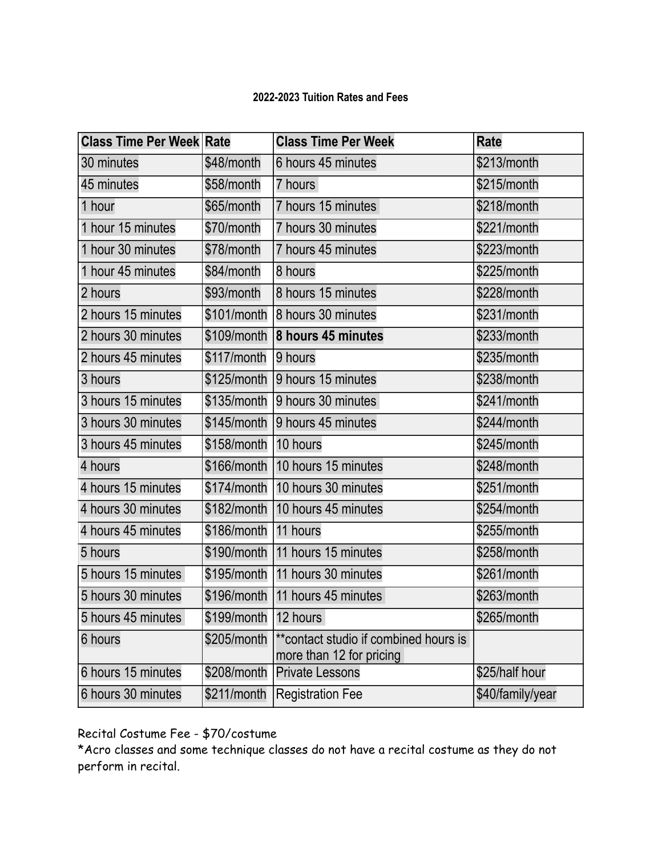## **2022-2023 Tuition Rates and Fees**

| <b>Class Time Per Week Rate</b> |                          | <b>Class Time Per Week</b>                                        | Rate             |
|---------------------------------|--------------------------|-------------------------------------------------------------------|------------------|
| 30 minutes                      | \$48/month               | 6 hours 45 minutes                                                | \$213/month      |
| 45 minutes                      | \$58/month               | 7 hours                                                           | \$215/month      |
| 1 hour                          | \$65/month               | 7 hours 15 minutes                                                | \$218/month      |
| 1 hour 15 minutes               | \$70/month               | 7 hours 30 minutes                                                | \$221/month      |
| 1 hour 30 minutes               | \$78/month               | 7 hours 45 minutes                                                | \$223/month      |
| 1 hour 45 minutes               | \$84/month               | 8 hours                                                           | \$225/month      |
| 2 hours                         | \$93/month               | 8 hours 15 minutes                                                | \$228/month      |
| 2 hours 15 minutes              |                          | \$101/month 8 hours 30 minutes                                    | \$231/month      |
| 2 hours 30 minutes              |                          | \$109/month 8 hours 45 minutes                                    | \$233/month      |
| 2 hours 45 minutes              | \$117/month              | 9 hours                                                           | \$235/month      |
| 3 hours                         |                          | \$125/month 9 hours 15 minutes                                    | \$238/month      |
| 3 hours 15 minutes              |                          | \$135/month 9 hours 30 minutes                                    | \$241/month      |
| 3 hours 30 minutes              |                          | \$145/month 9 hours 45 minutes                                    | \$244/month      |
| 3 hours 45 minutes              | \$158/month   10 hours   |                                                                   | \$245/month      |
| 4 hours                         |                          | \$166/month   10 hours 15 minutes                                 | \$248/month      |
| 4 hours 15 minutes              |                          | \$174/month   10 hours 30 minutes                                 | \$251/month      |
| 4 hours 30 minutes              |                          | \$182/month   10 hours 45 minutes                                 | \$254/month      |
| 4 hours 45 minutes              | \$186/month   11 hours   |                                                                   | \$255/month      |
| 5 hours                         |                          | \$190/month   11 hours 15 minutes                                 | \$258/month      |
| 5 hours 15 minutes              |                          | \$195/month 11 hours 30 minutes                                   | \$261/month      |
| 5 hours 30 minutes              |                          | \$196/month 11 hours 45 minutes                                   | \$263/month      |
| 5 hours 45 minutes              | $$199/m$ onth   12 hours |                                                                   | \$265/month      |
| 6 hours                         | \$205/month              | **contact studio if combined hours is<br>more than 12 for pricing |                  |
| 6 hours 15 minutes              | \$208/month              | <b>Private Lessons</b>                                            | \$25/half hour   |
| 6 hours 30 minutes              | \$211/month              | Registration Fee                                                  | \$40/family/year |

Recital Costume Fee - \$70/costume

\*Acro classes and some technique classes do not have a recital costume as they do not perform in recital.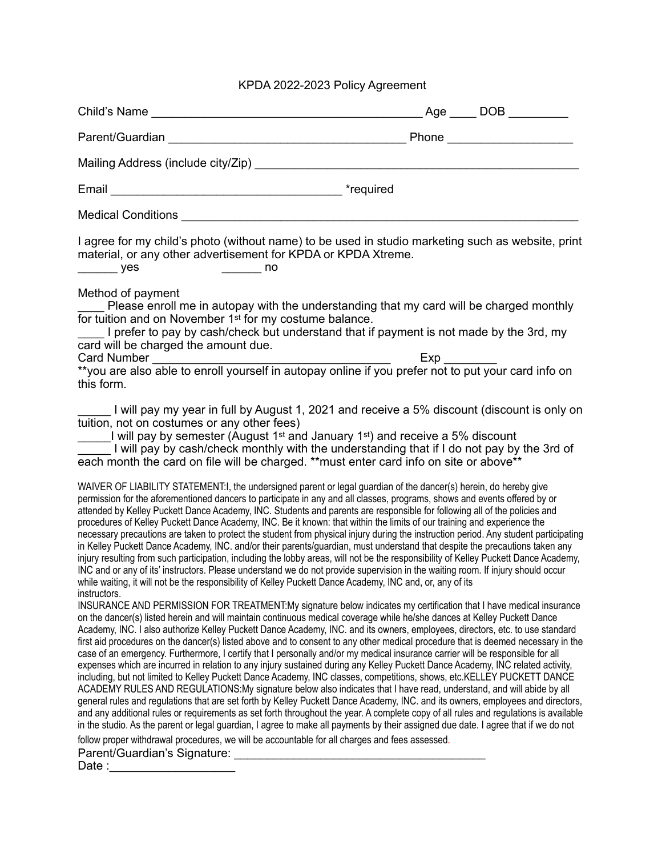# KPDA 2022-2023 Policy Agreement

| Child's Name                                                                                                                                                                                                                                                                                                                                                                                                                                                                                                                                                                                                                                                                                                                                                                                                                                                                                                                                                                                                                                                                                                                                                                                                                                                                                                                                                                                                                                                              |                                                                                                                                                                                    |
|---------------------------------------------------------------------------------------------------------------------------------------------------------------------------------------------------------------------------------------------------------------------------------------------------------------------------------------------------------------------------------------------------------------------------------------------------------------------------------------------------------------------------------------------------------------------------------------------------------------------------------------------------------------------------------------------------------------------------------------------------------------------------------------------------------------------------------------------------------------------------------------------------------------------------------------------------------------------------------------------------------------------------------------------------------------------------------------------------------------------------------------------------------------------------------------------------------------------------------------------------------------------------------------------------------------------------------------------------------------------------------------------------------------------------------------------------------------------------|------------------------------------------------------------------------------------------------------------------------------------------------------------------------------------|
|                                                                                                                                                                                                                                                                                                                                                                                                                                                                                                                                                                                                                                                                                                                                                                                                                                                                                                                                                                                                                                                                                                                                                                                                                                                                                                                                                                                                                                                                           |                                                                                                                                                                                    |
|                                                                                                                                                                                                                                                                                                                                                                                                                                                                                                                                                                                                                                                                                                                                                                                                                                                                                                                                                                                                                                                                                                                                                                                                                                                                                                                                                                                                                                                                           |                                                                                                                                                                                    |
|                                                                                                                                                                                                                                                                                                                                                                                                                                                                                                                                                                                                                                                                                                                                                                                                                                                                                                                                                                                                                                                                                                                                                                                                                                                                                                                                                                                                                                                                           |                                                                                                                                                                                    |
|                                                                                                                                                                                                                                                                                                                                                                                                                                                                                                                                                                                                                                                                                                                                                                                                                                                                                                                                                                                                                                                                                                                                                                                                                                                                                                                                                                                                                                                                           |                                                                                                                                                                                    |
| I agree for my child's photo (without name) to be used in studio marketing such as website, print<br>material, or any other advertisement for KPDA or KPDA Xtreme.<br>$\rule{1em}{0.15mm}$ yes<br>$\frac{1}{2}$ no                                                                                                                                                                                                                                                                                                                                                                                                                                                                                                                                                                                                                                                                                                                                                                                                                                                                                                                                                                                                                                                                                                                                                                                                                                                        |                                                                                                                                                                                    |
| Method of payment<br>for tuition and on November 1 <sup>st</sup> for my costume balance.<br>card will be charged the amount due.<br>this form.                                                                                                                                                                                                                                                                                                                                                                                                                                                                                                                                                                                                                                                                                                                                                                                                                                                                                                                                                                                                                                                                                                                                                                                                                                                                                                                            | Please enroll me in autopay with the understanding that my card will be charged monthly<br>I prefer to pay by cash/check but understand that if payment is not made by the 3rd, my |
| I will pay my year in full by August 1, 2021 and receive a 5% discount (discount is only on<br>tuition, not on costumes or any other fees)<br>I will pay by semester (August 1 <sup>st</sup> and January 1 <sup>st</sup> ) and receive a 5% discount<br>I will pay by cash/check monthly with the understanding that if I do not pay by the 3rd of<br>each month the card on file will be charged. **must enter card info on site or above**<br>WAIVER OF LIABILITY STATEMENT:I, the undersigned parent or legal guardian of the dancer(s) herein, do hereby give<br>permission for the aforementioned dancers to participate in any and all classes, programs, shows and events offered by or<br>attended by Kelley Puckett Dance Academy, INC. Students and parents are responsible for following all of the policies and<br>procedures of Kelley Puckett Dance Academy, INC. Be it known: that within the limits of our training and experience the                                                                                                                                                                                                                                                                                                                                                                                                                                                                                                                    |                                                                                                                                                                                    |
| necessary precautions are taken to protect the student from physical injury during the instruction period. Any student participating<br>in Kelley Puckett Dance Academy, INC. and/or their parents/guardian, must understand that despite the precautions taken any<br>injury resulting from such participation, including the lobby areas, will not be the responsibility of Kelley Puckett Dance Academy,<br>INC and or any of its' instructors. Please understand we do not provide supervision in the waiting room. If injury should occur<br>while waiting, it will not be the responsibility of Kelley Puckett Dance Academy, INC and, or, any of its                                                                                                                                                                                                                                                                                                                                                                                                                                                                                                                                                                                                                                                                                                                                                                                                               |                                                                                                                                                                                    |
| instructors.<br>INSURANCE AND PERMISSION FOR TREATMENT: My signature below indicates my certification that I have medical insurance<br>on the dancer(s) listed herein and will maintain continuous medical coverage while he/she dances at Kelley Puckett Dance<br>Academy, INC. I also authorize Kelley Puckett Dance Academy, INC. and its owners, employees, directors, etc. to use standard<br>first aid procedures on the dancer(s) listed above and to consent to any other medical procedure that is deemed necessary in the<br>case of an emergency. Furthermore, I certify that I personally and/or my medical insurance carrier will be responsible for all<br>expenses which are incurred in relation to any injury sustained during any Kelley Puckett Dance Academy, INC related activity,<br>including, but not limited to Kelley Puckett Dance Academy, INC classes, competitions, shows, etc.KELLEY PUCKETT DANCE<br>ACADEMY RULES AND REGULATIONS:My signature below also indicates that I have read, understand, and will abide by all<br>general rules and regulations that are set forth by Kelley Puckett Dance Academy, INC. and its owners, employees and directors,<br>and any additional rules or requirements as set forth throughout the year. A complete copy of all rules and regulations is available<br>in the studio. As the parent or legal guardian, I agree to make all payments by their assigned due date. I agree that if we do not |                                                                                                                                                                                    |
| follow proper withdrawal procedures, we will be accountable for all charges and fees assessed.<br>Parent/Guardian's Signature:<br>and the contract of the contract of the contract of the contract of the contract of the contract of the contract of the contract of the contract of the contract of the contract of the contract<br>Date :                                                                                                                                                                                                                                                                                                                                                                                                                                                                                                                                                                                                                                                                                                                                                                                                                                                                                                                                                                                                                                                                                                                              |                                                                                                                                                                                    |